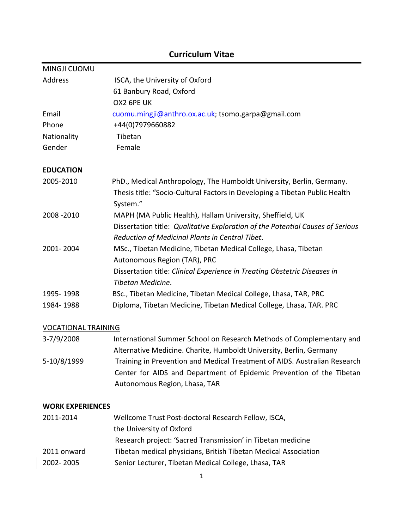# MINGJI CUOMU Address **ISCA, the University of Oxford** 61 Banbury Road, Oxford OX2 6PE UK Email Cuomu.mingji@anthro.ox.ac.uk; tsomo.garpa@gmail.com Phone +44(0)7979660882 Nationality Tibetan Gender Female **EDUCATION** 2005-2010 PhD., Medical Anthropology, The Humboldt University, Berlin, Germany. Thesis title: "Socio-Cultural Factors in Developing a Tibetan Public Health System." 2008 -2010 MAPH (MA Public Health), Hallam University, Sheffield, UK Dissertation title: Qualitative Exploration of the Potential Causes of Serious *Reduction of Medicinal Plants in Central Tibet*. 2001- 2004 MSc., Tibetan Medicine, Tibetan Medical College, Lhasa, Tibetan Autonomous Region (TAR), PRC Dissertation title: *Clinical Experience in Treating Obstetric Diseases in Tibetan Medicine*. 1995- 1998 BSc., Tibetan Medicine, Tibetan Medical College, Lhasa, TAR, PRC 1984- 1988 Diploma, Tibetan Medicine, Tibetan Medical College, Lhasa, TAR. PRC

## **Curriculum Vitae**

#### VOCATIONAL TRAINING

| 3-7/9/2008  | International Summer School on Research Methods of Complementary and      |
|-------------|---------------------------------------------------------------------------|
|             | Alternative Medicine. Charite, Humboldt University, Berlin, Germany       |
| 5-10/8/1999 | Training in Prevention and Medical Treatment of AIDS. Australian Research |
|             | Center for AIDS and Department of Epidemic Prevention of the Tibetan      |
|             | Autonomous Region, Lhasa, TAR                                             |

### **WORK EXPERIENCES**

| 2011-2014   | Wellcome Trust Post-doctoral Research Fellow, ISCA,             |
|-------------|-----------------------------------------------------------------|
|             | the University of Oxford                                        |
|             | Research project: 'Sacred Transmission' in Tibetan medicine     |
| 2011 onward | Tibetan medical physicians, British Tibetan Medical Association |
| 2002-2005   | Senior Lecturer, Tibetan Medical College, Lhasa, TAR            |